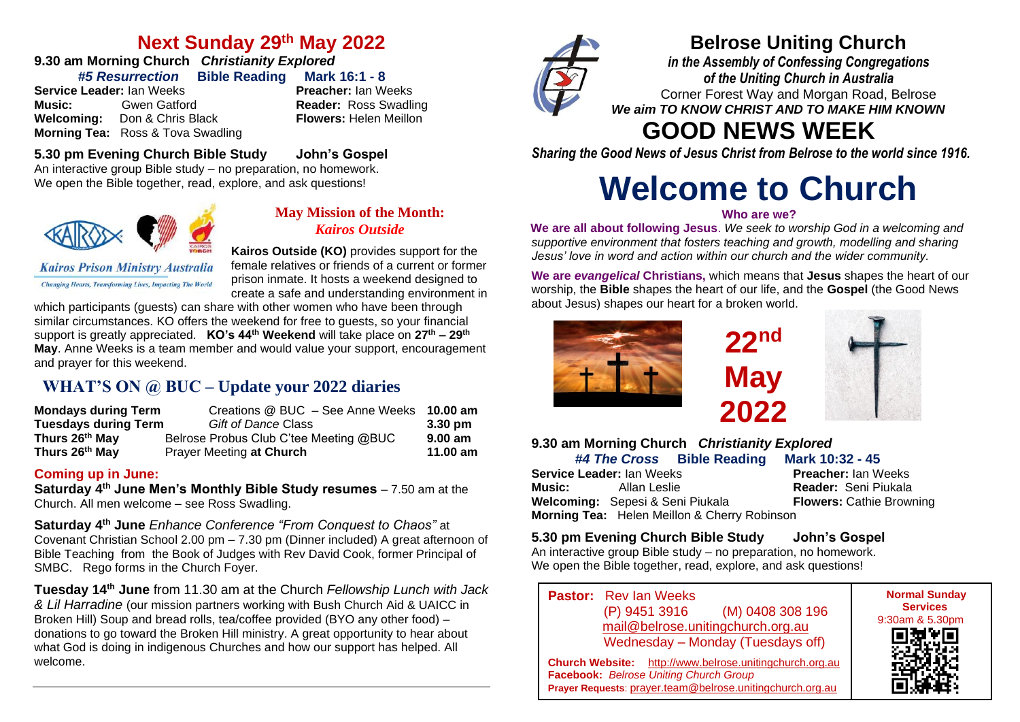## **Next Sunday 29th May 2022**

#### **9.30 am Morning Church** *Christianity Explored #5 Resurrection* **Bible Reading Mark 16:1 - 8**

**Service Leader:** Ian Weeks **Preacher:** Ian Weeks **Music:** Gwen Gatford **Reader:** Ross Swadling **Welcoming:** Don & Chris Black **Flowers:** Helen Meillon **Morning Tea:** Ross & Tova Swadling

#### **5.30 pm Evening Church Bible Study John's Gospel**

An interactive group Bible study – no preparation, no homework. We open the Bible together, read, explore, and ask questions!



**Kairos Prison Ministry Australia Changing Hearts, Transforming Lives, Impacting The World** 

#### **May Mission of the Month:** *Kairos Outside*

**Kairos Outside (KO)** provides support for the female relatives or friends of a current or former prison inmate. It hosts a weekend designed to create a safe and understanding environment in

which participants (guests) can share with other women who have been through similar circumstances. KO offers the weekend for free to guests, so your financial support is greatly appreciated. **KO's 44th Weekend** will take place on **27th – 29th May**. Anne Weeks is a team member and would value your support, encouragement and prayer for this weekend.

### **WHAT'S ON @ BUC – Update your 2022 diaries**

| <b>Mondays during Term</b>  | Creations @ BUC - See Anne Weeks 10.00 am |                    |
|-----------------------------|-------------------------------------------|--------------------|
| <b>Tuesdavs during Term</b> | Gift of Dance Class                       | $3.30 \text{ pm}$  |
| Thurs 26th May              | Belrose Probus Club C'tee Meeting @BUC    | 9.00 am            |
| Thurs 26th May              | Prayer Meeting at Church                  | $11.00 \text{ am}$ |

#### **Coming up in June:**

**Saturday 4th June Men's Monthly Bible Study resumes** – 7.50 am at the Church. All men welcome – see Ross Swadling.

**Saturday 4th June** *Enhance Conference "From Conquest to Chaos"* at Covenant Christian School 2.00 pm – 7.30 pm (Dinner included) A great afternoon of Bible Teaching from the Book of Judges with Rev David Cook, former Principal of SMBC. Rego forms in the Church Fover.

**Tuesday 14th June** from 11.30 am at the Church *Fellowship Lunch with Jack & Lil Harradine* (our mission partners working with Bush Church Aid & UAICC in Broken Hill) Soup and bread rolls, tea/coffee provided (BYO any other food) – donations to go toward the Broken Hill ministry. A great opportunity to hear about what God is doing in indigenous Churches and how our support has helped. All welcome.



## **Belrose Uniting Church**

*in the Assembly of Confessing Congregations of the Uniting Church in Australia* Corner Forest Way and Morgan Road, Belrose *We aim TO KNOW CHRIST AND TO MAKE HIM KNOWN*

# **GOOD NEWS WEEK**

*Sharing the Good News of Jesus Christ from Belrose to the world since 1916.*

# **Welcome to Church**

#### **Who are we?**

**We are all about following Jesus**. *We seek to worship God in a welcoming and supportive environment that fosters teaching and growth, modelling and sharing Jesus' love in word and action within our church and the wider community.*

**We are** *evangelical* **Christians,** which means that **Jesus** shapes the heart of our worship, the **Bible** shapes the heart of our life, and the **Gospel** (the Good News about Jesus) shapes our heart for a broken world.

**22nd**

**May**

**2022**





#### **9.30 am Morning Church** *Christianity Explored #4 The Cross* **Bible Reading Mark 10:32 - 45**

**Service Leader:** Ian Weeks **Preacher:** Ian Weeks **Music:** Allan Leslie **Reader:** Seni Piukala **Welcoming:** Sepesi & Seni Piukala **Flowers:** Cathie Browning **Morning Tea:** Helen Meillon & Cherry Robinson

#### **5.30 pm Evening Church Bible Study John's Gospel**

An interactive group Bible study – no preparation, no homework. We open the Bible together, read, explore, and ask questions!

**Pastor:** Rev Ian Weeks (P) 9451 3916 (M) 0408 308 196 [mail@belrose.unitingchurch.org.au](mailto:mail@belrose.unitingchurch.org.au) Wednesday – Monday (Tuesdays off)



**Church Website:** [http://www.belrose.unitingchurch.org.au](http://www.belrose.unitingchurch.org.au/) **Facebook:** *Belrose Uniting Church Group* **Prayer Requests**: [prayer.team@belrose.unitingchurch.org.au](mailto:prayer.team@belrose.unitingchurch.org.au)